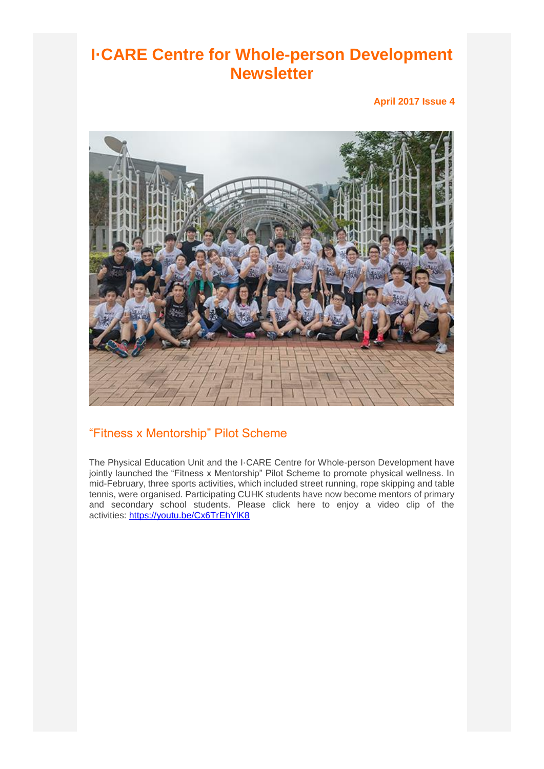## **I·CARE Centre for Whole-person Development Newsletter**

**April 2017 Issue 4**



#### "Fitness x Mentorship" Pilot Scheme

The Physical Education Unit and the I·CARE Centre for Whole-person Development have jointly launched the "Fitness x Mentorship" Pilot Scheme to promote physical wellness. In mid-February, three sports activities, which included street running, rope skipping and table tennis, were organised. Participating CUHK students have now become mentors of primary and secondary school students. Please click here to enjoy a video clip of the activities: <https://youtu.be/Cx6TrEhYlK8>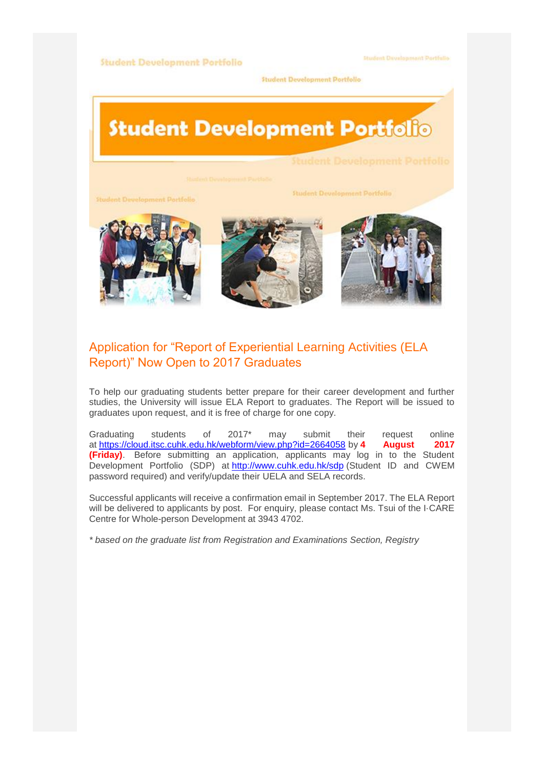#### **Student Development Portfolio**

**Hudent Development Portfulio** 

Student Development Portfolio

# **Student Development Portfolio**

**Student Development Portfolio** 

**Student Development Portfolio** 



#### Application for "Report of Experiential Learning Activities (ELA Report)" Now Open to 2017 Graduates

To help our graduating students better prepare for their career development and further studies, the University will issue ELA Report to graduates. The Report will be issued to graduates upon request, and it is free of charge for one copy.

Graduating students of 2017\* may submit their request online at <https://cloud.itsc.cuhk.edu.hk/webform/view.php?id=2664058> by **4 August 2017 (Friday)**. Before submitting an application, applicants may log in to the Student Development Portfolio (SDP) at <http://www.cuhk.edu.hk/sdp> (Student ID and CWEM password required) and verify/update their UELA and SELA records.

Successful applicants will receive a confirmation email in September 2017. The ELA Report will be delivered to applicants by post. For enquiry, please contact Ms. Tsui of the I·CARE Centre for Whole-person Development at 3943 4702.

*\* based on the graduate list from Registration and Examinations Section, Registry*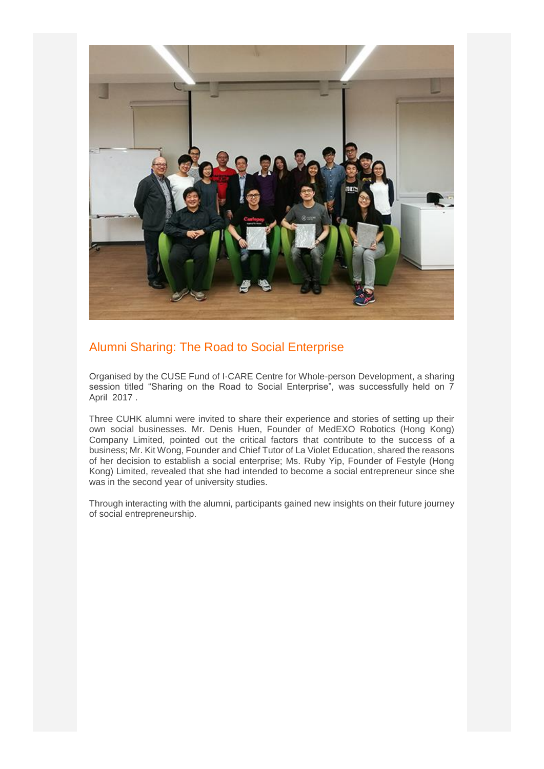

#### Alumni Sharing: The Road to Social Enterprise

Organised by the CUSE Fund of I·CARE Centre for Whole-person Development, a sharing session titled "Sharing on the Road to Social Enterprise", was successfully held on 7 April 2017 .

Three CUHK alumni were invited to share their experience and stories of setting up their own social businesses. Mr. Denis Huen, Founder of MedEXO Robotics (Hong Kong) Company Limited, pointed out the critical factors that contribute to the success of a business; Mr. Kit Wong, Founder and Chief Tutor of La Violet Education, shared the reasons of her decision to establish a social enterprise; Ms. Ruby Yip, Founder of Festyle (Hong Kong) Limited, revealed that she had intended to become a social entrepreneur since she was in the second year of university studies.

Through interacting with the alumni, participants gained new insights on their future journey of social entrepreneurship.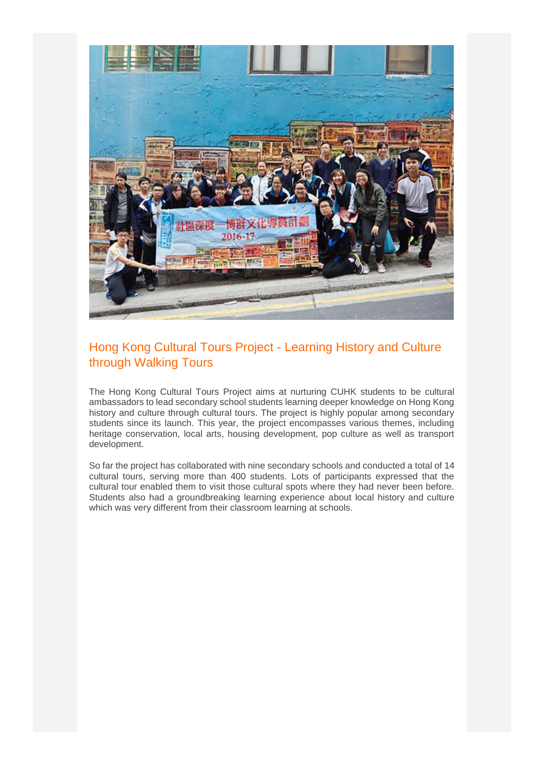

#### Hong Kong Cultural Tours Project - Learning History and Culture through Walking Tours

The Hong Kong Cultural Tours Project aims at nurturing CUHK students to be cultural ambassadors to lead secondary school students learning deeper knowledge on Hong Kong history and culture through cultural tours. The project is highly popular among secondary students since its launch. This year, the project encompasses various themes, including heritage conservation, local arts, housing development, pop culture as well as transport development.

So far the project has collaborated with nine secondary schools and conducted a total of 14 cultural tours, serving more than 400 students. Lots of participants expressed that the cultural tour enabled them to visit those cultural spots where they had never been before. Students also had a groundbreaking learning experience about local history and culture which was very different from their classroom learning at schools.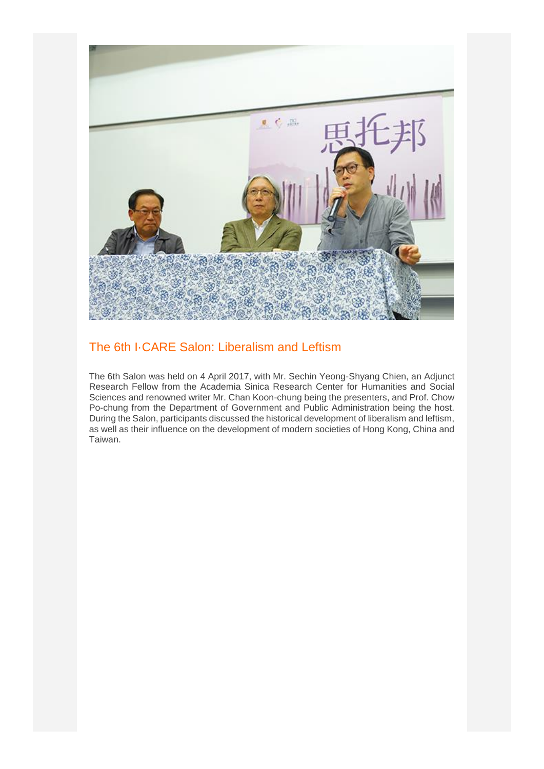

#### The 6th I·CARE Salon: Liberalism and Leftism

The 6th Salon was held on 4 April 2017, with Mr. Sechin Yeong-Shyang Chien, an Adjunct Research Fellow from the Academia Sinica Research Center for Humanities and Social Sciences and renowned writer Mr. Chan Koon-chung being the presenters, and Prof. Chow Po-chung from the Department of Government and Public Administration being the host. During the Salon, participants discussed the historical development of liberalism and leftism, as well as their influence on the development of modern societies of Hong Kong, China and Taiwan.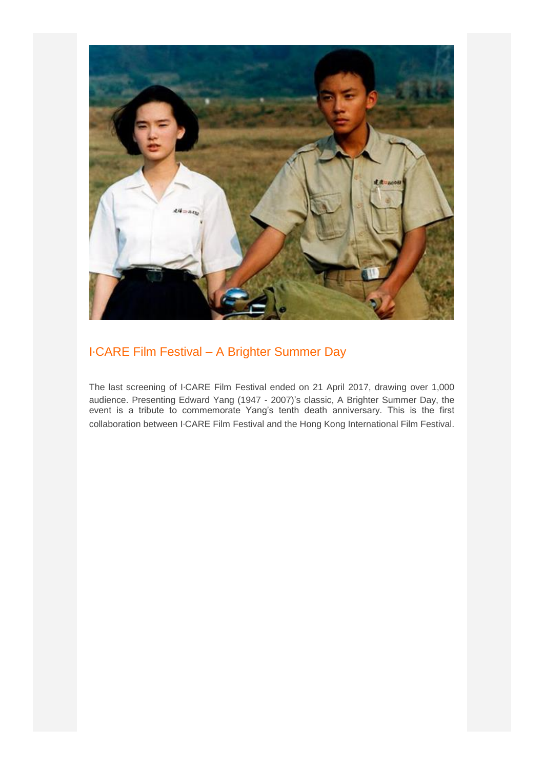

### I‧CARE Film Festival – A Brighter Summer Day

The last screening of I·CARE Film Festival ended on 21 April 2017, drawing over 1,000 audience. Presenting Edward Yang (1947 - 2007)'s classic, A Brighter Summer Day, the event is a tribute to commemorate Yang's tenth death anniversary. This is the first collaboration between I·CARE Film Festival and the Hong Kong International Film Festival.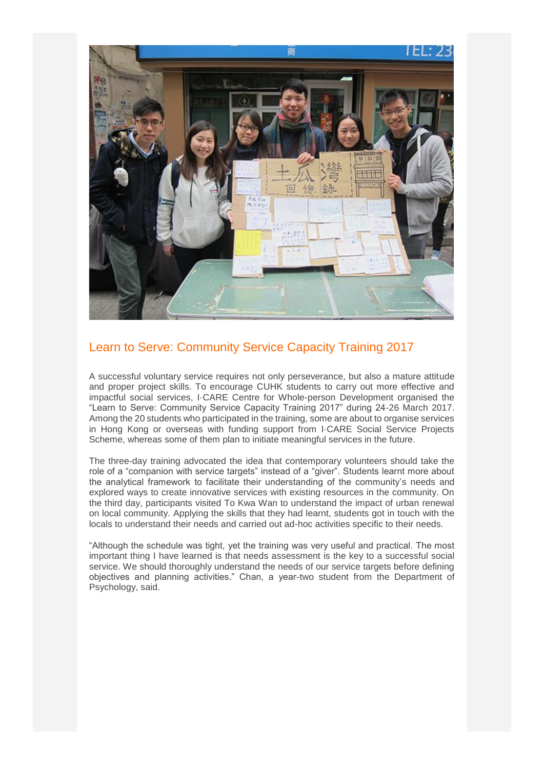

#### Learn to Serve: Community Service Capacity Training 2017

A successful voluntary service requires not only perseverance, but also a mature attitude and proper project skills. To encourage CUHK students to carry out more effective and impactful social services, I·CARE Centre for Whole-person Development organised the "Learn to Serve: Community Service Capacity Training 2017" during 24-26 March 2017. Among the 20 students who participated in the training, some are about to organise services in Hong Kong or overseas with funding support from I·CARE Social Service Projects Scheme, whereas some of them plan to initiate meaningful services in the future.

The three-day training advocated the idea that contemporary volunteers should take the role of a "companion with service targets" instead of a "giver". Students learnt more about the analytical framework to facilitate their understanding of the community's needs and explored ways to create innovative services with existing resources in the community. On the third day, participants visited To Kwa Wan to understand the impact of urban renewal on local community. Applying the skills that they had learnt, students got in touch with the locals to understand their needs and carried out ad-hoc activities specific to their needs.

"Although the schedule was tight, yet the training was very useful and practical. The most important thing I have learned is that needs assessment is the key to a successful social service. We should thoroughly understand the needs of our service targets before defining objectives and planning activities." Chan, a year-two student from the Department of Psychology, said.